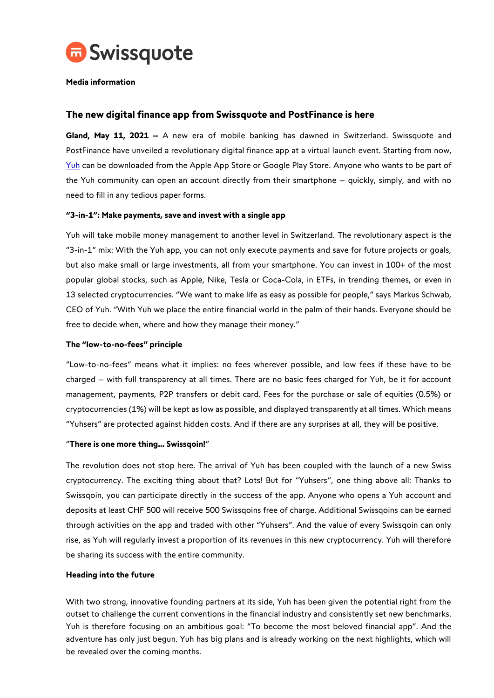

## **Media information**

# **The new digital finance app from Swissquote and PostFinance is here**

**Gland, May 11, 2021 –** A new era of mobile banking has dawned in Switzerland. Swissquote and PostFinance have unveiled a revolutionary digital finance app at a virtual launch event. Starting from now[,](https://www.yuh.com/de) [Yuh](https://www.yuh.com/de) can be downloaded from the Apple App Store or Google Play Store. Anyone who wants to be part of the Yuh community can open an account directly from their smartphone – quickly, simply, and with no need to fill in any tedious paper forms.

## **"3-in-1": Make payments, save and invest with a single app**

Yuh will take mobile money management to another level in Switzerland. The revolutionary aspect is the "3-in-1" mix: With the Yuh app, you can not only execute payments and save for future projects or goals, but also make small or large investments, all from your smartphone. You can invest in 100+ of the most popular global stocks, such as Apple, Nike, Tesla or Coca-Cola, in ETFs, in trending themes, or even in 13 selected cryptocurrencies. "We want to make life as easy as possible for people," says Markus Schwab, CEO of Yuh. "With Yuh we place the entire financial world in the palm of their hands. Everyone should be free to decide when, where and how they manage their money."

## **The "low-to-no-fees" principle**

"Low-to-no-fees" means what it implies: no fees wherever possible, and low fees if these have to be charged – with full transparency at all times. There are no basic fees charged for Yuh, be it for account management, payments, P2P transfers or debit card. Fees for the purchase or sale of equities (0.5%) or cryptocurrencies (1%) will be kept as low as possible, and displayed transparently at all times. Which means "Yuhsers" are protected against hidden costs. And if there are any surprises at all, they will be positive.

#### "**There is one more thing… Swissqoin!**"

The revolution does not stop here. The arrival of Yuh has been coupled with the launch of a new Swiss cryptocurrency. The exciting thing about that? Lots! But for "Yuhsers", one thing above all: Thanks to Swissqoin, you can participate directly in the success of the app. Anyone who opens a Yuh account and deposits at least CHF 500 will receive 500 Swissqoins free of charge. Additional Swissqoins can be earned through activities on the app and traded with other "Yuhsers". And the value of every Swissqoin can only rise, as Yuh will regularly invest a proportion of its revenues in this new cryptocurrency. Yuh will therefore be sharing its success with the entire community.

#### **Heading into the future**

With two strong, innovative founding partners at its side, Yuh has been given the potential right from the outset to challenge the current conventions in the financial industry and consistently set new benchmarks. Yuh is therefore focusing on an ambitious goal: "To become the most beloved financial app". And the adventure has only just begun. Yuh has big plans and is already working on the next highlights, which will be revealed over the coming months.